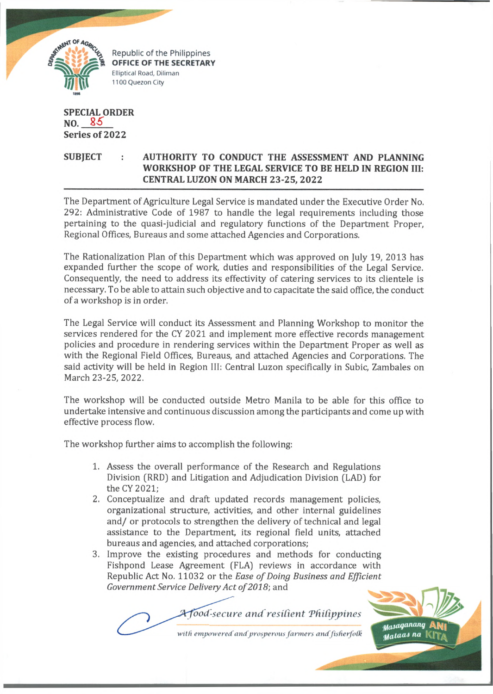

**CRIPTION AGAVEL**<br> **CRIPTION OFFICE OF THE SECRETARY** Elliptical Road, Diliman 1100 Quezon City

**SPECIAL ORDER NO. Series of 2022**

## **SUBJECT : AUTHORITY TO CONDUCT THE ASSESSMENT AND PLANNING WORKSHOP OF THE LEGAL SERVICE TO BE HELD IN REGION III: CENTRAL LUZON ON MARCH 23-25, 2022**

The Department of Agriculture Legal Service is mandated under the Executive Order No. 292: Administrative Code of 1987 to handle the legal requirements including those pertaining to the quasi-judicial and regulatory functions of the Department Proper, Regional Offices, Bureaus and some attached Agencies and Corporations.

The Rationalization Plan of this Department which was approved on July 19, 2013 has expanded further the scope of work, duties and responsibilities of the Legal Service. Consequently, the need to address its effectivity of catering services to its clientele is necessary. To be able to attain such objective and to capacitate the said office, the conduct of a workshop is in order.

The Legal Service will conduct its Assessment and Planning Workshop to monitor the services rendered for the CY 2021 and implement more effective records management policies and procedure in rendering services within the Department Proper as well as with the Regional Field Offices, Bureaus, and attached Agencies and Corporations. The said activity will be held in Region III: Central Luzon specifically in Subic, Zambales on March 23-25, 2022.

The workshop will be conducted outside Metro Manila to be able for this office to undertake intensive and continuous discussion among the participants and come up with effective process flow.

The workshop further aims to accomplish the following:

- 1 **.** Assess the overall performance of the Research and Regulations Division (RRD) and Litigation and Adjudication Division (LAD) for the CY 2021;
- **2.** Conceptualize and draft updated records management policies, organizational structure, activities, and other internal guidelines and/ or protocols to strengthen the delivery of technical and legal assistance to the Department, its regional field units, attached bureaus and agencies, and attached corporations;
- 3**.** Improve the existing procedures and methods for conducting Fishpond Lease Agreement (FLA) reviews in accordance with Republic Act No. 11032 or the *Ease of Doing Business and Efficient* Government Service Delivery Act of 2018; and

 $A$  food-secure and resilient Philippines

*with empowered and prosperous farmers and fisfierfolk*